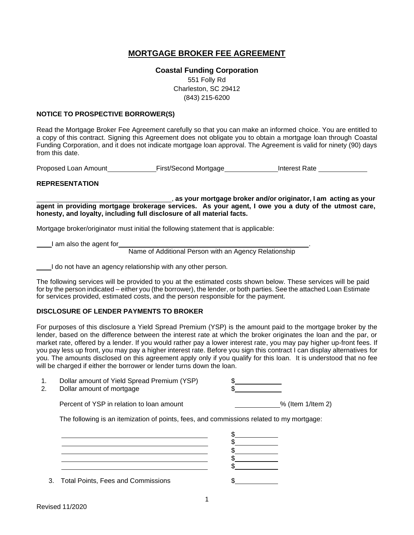# **MORTGAGE BROKER FEE AGREEMENT**

**Coastal Funding Corporation**  551 Folly Rd Charleston, SC 29412 (843) 215-6200

#### **NOTICE TO PROSPECTIVE BORROWER(S)**

Read the Mortgage Broker Fee Agreement carefully so that you can make an informed choice. You are entitled to a copy of this contract. Signing this Agreement does not obligate you to obtain a mortgage loan through Coastal Funding Corporation, and it does not indicate mortgage loan approval. The Agreement is valid for ninety (90) days from this date.

Proposed Loan Amount First/Second Mortgage Interest Rate

#### **REPRESENTATION**

, **as your mortgage broker and/or originator, I am acting as your agent in providing mortgage brokerage services. As your agent, I owe you a duty of the utmost care, honesty, and loyalty, including full disclosure of all material facts.**

Mortgage broker/originator must initial the following statement that is applicable:

I am also the agent for

Name of Additional Person with an Agency Relationship

I do not have an agency relationship with any other person.

The following services will be provided to you at the estimated costs shown below. These services will be paid for by the person indicated – either you (the borrower), the lender, or both parties. See the attached Loan Estimate for services provided, estimated costs, and the person responsible for the payment.

#### **DISCLOSURE OF LENDER PAYMENTS TO BROKER**

For purposes of this disclosure a Yield Spread Premium (YSP) is the amount paid to the mortgage broker by the lender, based on the difference between the interest rate at which the broker originates the loan and the par, or market rate, offered by a lender. If you would rather pay a lower interest rate, you may pay higher up-front fees. If you pay less up front, you may pay a higher interest rate. Before you sign this contract I can display alternatives for you. The amounts disclosed on this agreement apply only if you qualify for this loan. It is understood that no fee will be charged if either the borrower or lender turns down the loan.

| Dollar amount of Yield Spread Premium (YSP) |  |
|---------------------------------------------|--|
| Dollar amount of mortgage                   |  |

Percent of YSP in relation to loan amount Materian Communication 1/Item 2)

The following is an itemization of points, fees, and commissions related to my mortgage:

| 3. Total Points, Fees and Commissions |  |
|---------------------------------------|--|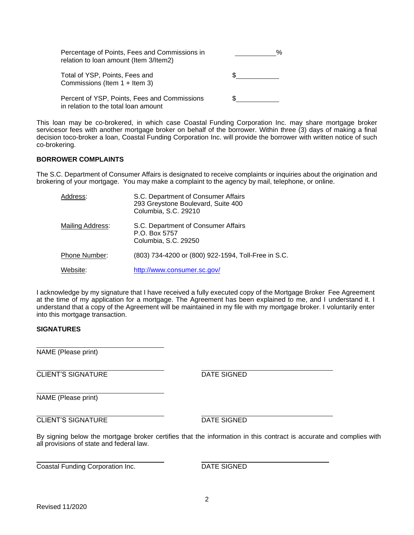| Percentage of Points, Fees and Commissions in<br>relation to loan amount (Item 3/Item2) | % |
|-----------------------------------------------------------------------------------------|---|
| Total of YSP, Points, Fees and<br>Commissions (Item $1 +$ Item 3)                       |   |
| Percent of YSP, Points, Fees and Commissions<br>in relation to the total loan amount    |   |

This loan may be co-brokered, in which case Coastal Funding Corporation Inc. may share mortgage broker servicesor fees with another mortgage broker on behalf of the borrower. Within three (3) days of making a final decision toco-broker a loan, Coastal Funding Corporation Inc. will provide the borrower with written notice of such co-brokering.

### **BORROWER COMPLAINTS**

The S.C. Department of Consumer Affairs is designated to receive complaints or inquiries about the origination and brokering of your mortgage. You may make a complaint to the agency by mail, telephone, or online.

| Address:             | S.C. Department of Consumer Affairs<br>293 Greystone Boulevard, Suite 400<br>Columbia, S.C. 29210 |
|----------------------|---------------------------------------------------------------------------------------------------|
| Mailing Address:     | S.C. Department of Consumer Affairs<br>P.O. Box 5757<br>Columbia, S.C. 29250                      |
| <b>Phone Number:</b> | (803) 734-4200 or (800) 922-1594, Toll-Free in S.C.                                               |
| Website:             | http://www.consumer.sc.gov/                                                                       |

I acknowledge by my signature that I have received a fully executed copy of the Mortgage Broker Fee Agreement at the time of my application for a mortgage. The Agreement has been explained to me, and I understand it. I understand that a copy of the Agreement will be maintained in my file with my mortgage broker. I voluntarily enter into this mortgage transaction.

#### **SIGNATURES**

NAME (Please print)

**CLIENT'S SIGNATURE DATE SIGNED** 

NAME (Please print)

**CLIENT'S SIGNATURE DATE SIGNED** 

By signing below the mortgage broker certifies that the information in this contract is accurate and complies with all provisions of state and federal law.

**Coastal Funding Corporation Inc.** DATE SIGNED